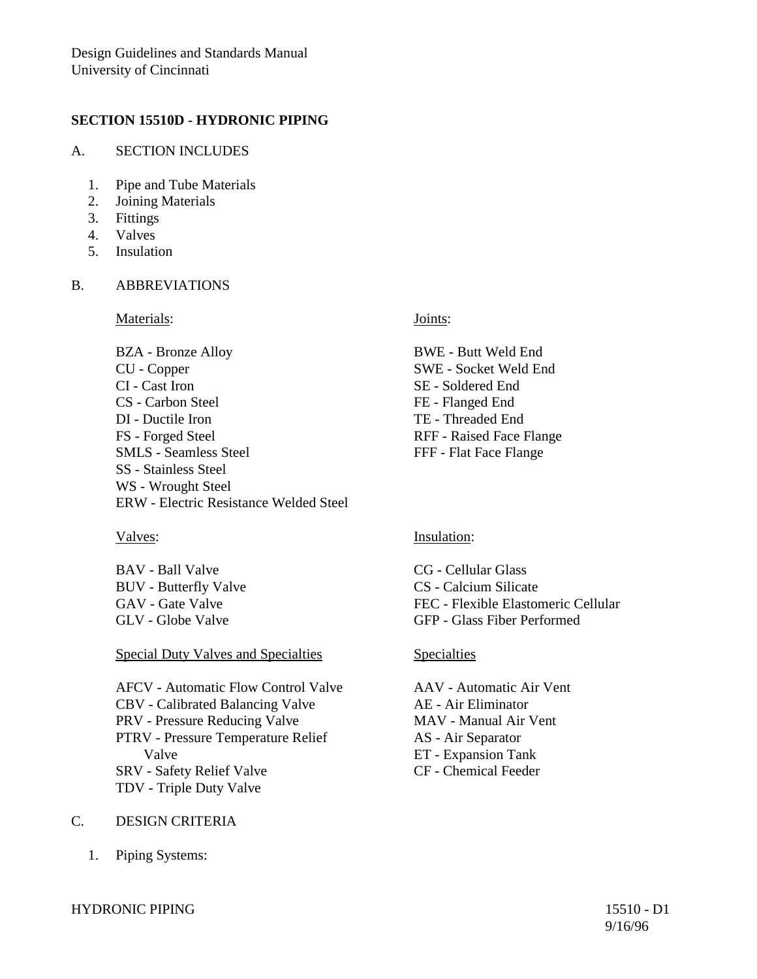### **SECTION 15510D - HYDRONIC PIPING**

### A. SECTION INCLUDES

- 1. Pipe and Tube Materials
- 2. Joining Materials
- 3. Fittings
- 4. Valves
- 5. Insulation

# B. ABBREVIATIONS

Materials: **Materials:** Joints:

BWE - Butt Weld End SWE - Socket Weld End

RFF - Raised Face Flange FFF - Flat Face Flange

SE - Soldered End FE - Flanged End TE - Threaded End

BZA - Bronze Alloy CU - Copper CI - Cast Iron CS - Carbon Steel DI - Ductile Iron FS - Forged Steel SMLS - Seamless Steel SS - Stainless Steel WS - Wrought Steel ERW - Electric Resistance Welded Steel

BAV - Ball Valve BUV - Butterfly Valve GAV - Gate Valve GLV - Globe Valve

Special Duty Valves and Specialties Specialties

AFCV - Automatic Flow Control Valve CBV - Calibrated Balancing Valve PRV - Pressure Reducing Valve PTRV - Pressure Temperature Relief Valve SRV - Safety Relief Valve TDV - Triple Duty Valve

## C. DESIGN CRITERIA

1. Piping Systems:

### Valves: Insulation:

CG - Cellular Glass CS - Calcium Silicate FEC - Flexible Elastomeric Cellular GFP - Glass Fiber Performed

AAV - Automatic Air Vent AE - Air Eliminator MAV - Manual Air Vent AS - Air Separator ET - Expansion Tank CF - Chemical Feeder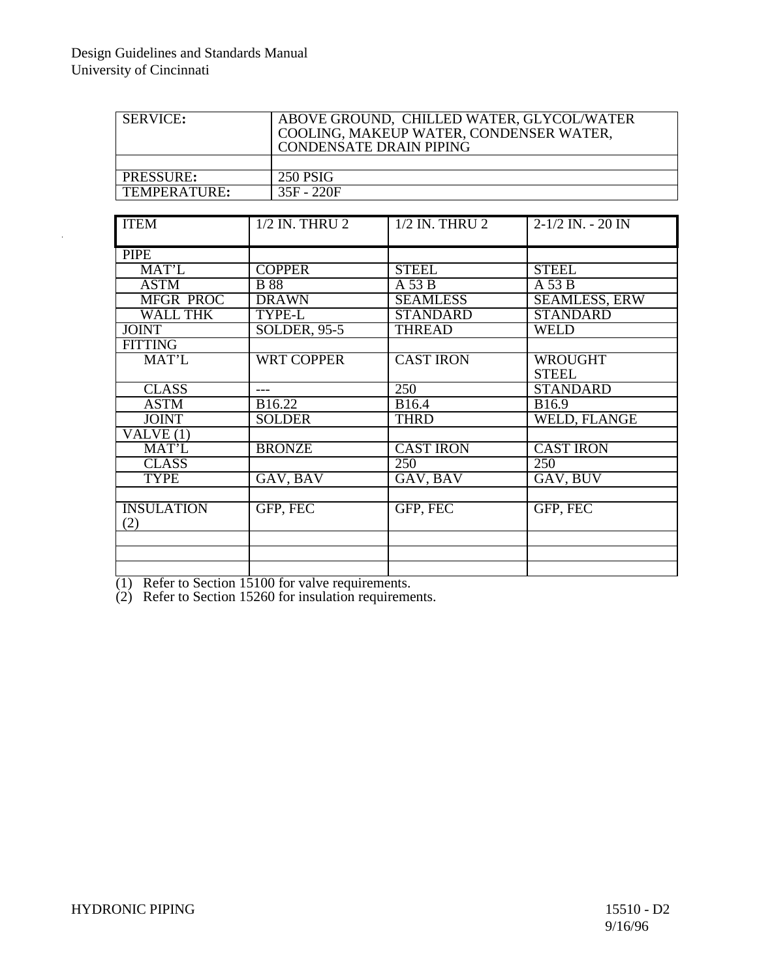| <b>SERVICE:</b> | ABOVE GROUND, CHILLED WATER, GLYCOL/WATER<br>COOLING, MAKEUP WATER, CONDENSER WATER,<br><b>CONDENSATE DRAIN PIPING</b> |
|-----------------|------------------------------------------------------------------------------------------------------------------------|
|                 |                                                                                                                        |
| PRESSURE:       | 250 PSIG                                                                                                               |
| TEMPERATURE:    | 35F - 220F                                                                                                             |

| <b>ITEM</b>       | 1/2 IN. THRU 2      | $1/2$ IN. THRU $2$ | $2-1/2$ IN. $-20$ IN |
|-------------------|---------------------|--------------------|----------------------|
|                   |                     |                    |                      |
| <b>PIPE</b>       |                     |                    |                      |
| MAT'L             | <b>COPPER</b>       | <b>STEEL</b>       | <b>STEEL</b>         |
| <b>ASTM</b>       | <b>B</b> 88         | A 53 B             | A 53 B               |
| <b>MFGR PROC</b>  | <b>DRAWN</b>        | <b>SEAMLESS</b>    | <b>SEAMLESS, ERW</b> |
| <b>WALL THK</b>   | TYPE-L              | <b>STANDARD</b>    | <b>STANDARD</b>      |
| <b>JOINT</b>      | <b>SOLDER, 95-5</b> | <b>THREAD</b>      | <b>WELD</b>          |
| <b>FITTING</b>    |                     |                    |                      |
| MAT'L             | <b>WRT COPPER</b>   | <b>CAST IRON</b>   | <b>WROUGHT</b>       |
|                   |                     |                    | <b>STEEL</b>         |
| <b>CLASS</b>      |                     | 250                | <b>STANDARD</b>      |
| <b>ASTM</b>       | B16.22              | B16.4              | B <sub>16.9</sub>    |
| <b>JOINT</b>      | <b>SOLDER</b>       | <b>THRD</b>        | WELD, FLANGE         |
| VALVE (1)         |                     |                    |                      |
| MAT'L             | <b>BRONZE</b>       | <b>CAST IRON</b>   | <b>CAST IRON</b>     |
| <b>CLASS</b>      |                     | 250                | 250                  |
| <b>TYPE</b>       | GAV, BAV            | GAV, BAV           | GAV, BUV             |
|                   |                     |                    |                      |
| <b>INSULATION</b> | GFP, FEC            | GFP, FEC           | GFP, FEC             |
| (2)               |                     |                    |                      |
|                   |                     |                    |                      |
|                   |                     |                    |                      |
|                   |                     |                    |                      |

(1) Refer to Section 15100 for valve requirements.

(2) Refer to Section 15260 for insulation requirements.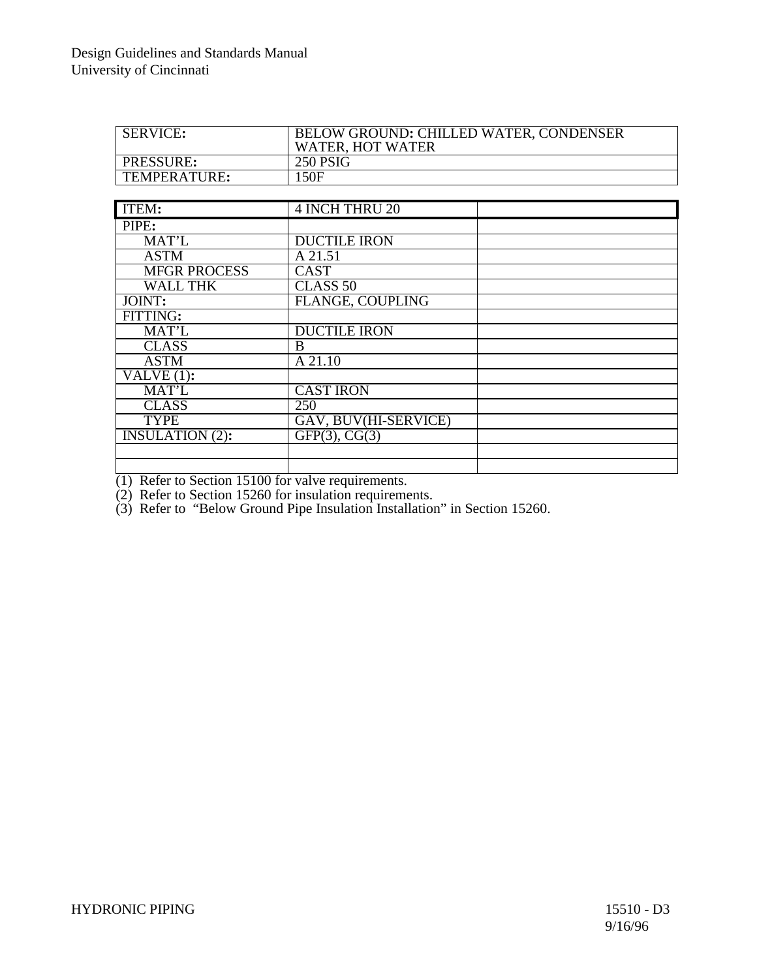| <b>SERVICE:</b>  | BELOW GROUND: CHILLED WATER, CONDENSER<br><b>WATER, HOT WATER</b> |
|------------------|-------------------------------------------------------------------|
| <b>PRESSURE:</b> | 250 PSIG                                                          |
| TEMPERATURE:     | 150F                                                              |
|                  |                                                                   |

| ITEM:                          | <b>4 INCH THRU 20</b>   |  |
|--------------------------------|-------------------------|--|
| PIPE:                          |                         |  |
| MAT'L                          | <b>DUCTILE IRON</b>     |  |
| <b>ASTM</b>                    | A 21.51                 |  |
| <b>MFGR PROCESS</b>            | <b>CAST</b>             |  |
| <b>WALL THK</b>                | CLASS <sub>50</sub>     |  |
| JOINT:                         | <b>FLANGE, COUPLING</b> |  |
| FITTING:                       |                         |  |
| MAT'L                          | <b>DUCTILE IRON</b>     |  |
| <b>CLASS</b>                   | B                       |  |
| <b>ASTM</b>                    | $\overline{A21.10}$     |  |
| $\overline{\text{VALVE}}(1)$ : |                         |  |
| MAT'L                          | <b>CAST IRON</b>        |  |
| <b>CLASS</b>                   | 250                     |  |
| <b>TYPE</b>                    | GAV, BUV(HI-SERVICE)    |  |
| <b>INSULATION (2):</b>         | GFP(3), CG(3)           |  |
|                                |                         |  |
|                                |                         |  |

(1) Refer to Section 15100 for valve requirements.

(2) Refer to Section 15260 for insulation requirements.

(3) Refer to "Below Ground Pipe Insulation Installation" in Section 15260.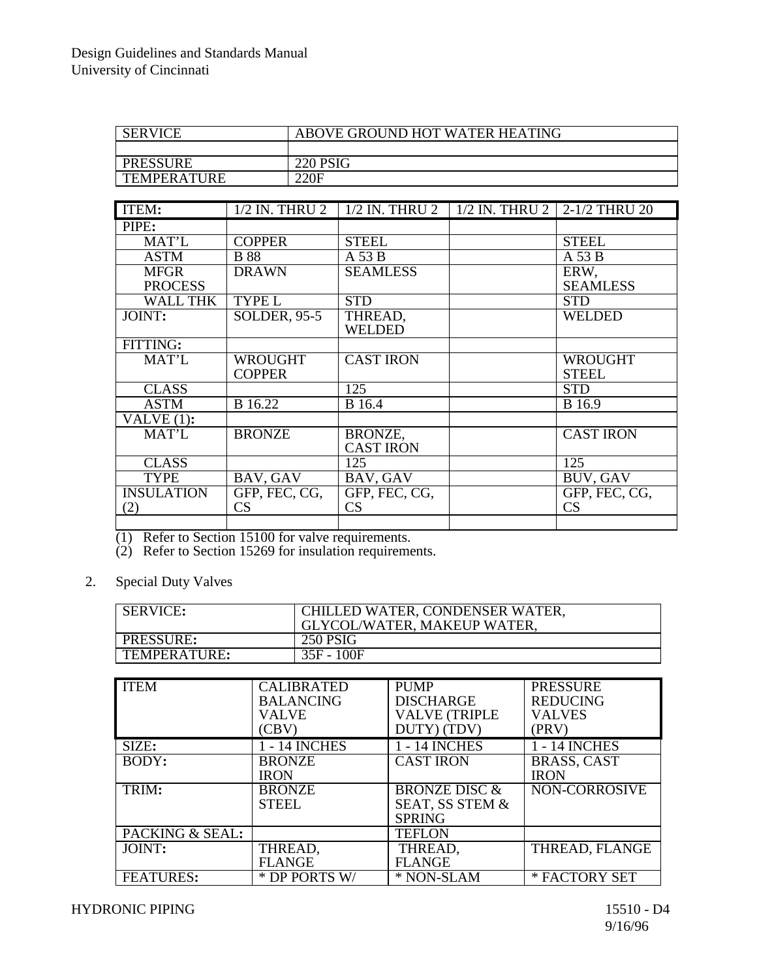| <b>SERVICE</b>     | ABOVE GROUND HOT WATER HEATING |
|--------------------|--------------------------------|
|                    |                                |
| <b>PRESSURE</b>    | <b>220 PSIG</b>                |
| <b>TEMPERATURE</b> | 220F                           |

| ITEM:             | 1/2 IN. THRU 2      |                          | 1/2 IN. THRU 2   1/2 IN. THRU 2   2-1/2 THRU 20 |                  |
|-------------------|---------------------|--------------------------|-------------------------------------------------|------------------|
| PIPE:             |                     |                          |                                                 |                  |
| MAT'L             | <b>COPPER</b>       | <b>STEEL</b>             |                                                 | <b>STEEL</b>     |
| <b>ASTM</b>       | <b>B</b> 88         | $A$ 53 $B$               |                                                 | $A$ 53 $B$       |
| <b>MFGR</b>       | <b>DRAWN</b>        | <b>SEAMLESS</b>          |                                                 | ERW,             |
| <b>PROCESS</b>    |                     |                          |                                                 | <b>SEAMLESS</b>  |
| WALL THK          | <b>TYPE L</b>       | <b>STD</b>               |                                                 | <b>STD</b>       |
| JOINT:            | <b>SOLDER, 95-5</b> | THREAD,<br><b>WELDED</b> |                                                 | <b>WELDED</b>    |
| FITTING:          |                     |                          |                                                 |                  |
|                   |                     |                          |                                                 |                  |
| MAT'L             | <b>WROUGHT</b>      | <b>CAST IRON</b>         |                                                 | WROUGHT          |
|                   | <b>COPPER</b>       |                          |                                                 | <b>STEEL</b>     |
| <b>CLASS</b>      |                     | 125                      |                                                 | <b>STD</b>       |
| <b>ASTM</b>       | <b>B</b> 16.22      | <b>B</b> 16.4            |                                                 | <b>B</b> 16.9    |
| VALVE $(1)$ :     |                     |                          |                                                 |                  |
| MAT'L             | <b>BRONZE</b>       | BRONZE,                  |                                                 | <b>CAST IRON</b> |
|                   |                     | <b>CAST IRON</b>         |                                                 |                  |
| <b>CLASS</b>      |                     | 125                      |                                                 | 125              |
| <b>TYPE</b>       | BAV, GAV            | BAV, GAV                 |                                                 | BUV, GAV         |
| <b>INSULATION</b> | GFP, FEC, CG,       | GFP, FEC, CG,            |                                                 | GFP, FEC, CG,    |
| (2)               | CS                  | CS                       |                                                 | CS               |
|                   |                     |                          |                                                 |                  |

(1) Refer to Section 15100 for valve requirements.

(2) Refer to Section 15269 for insulation requirements.

2. Special Duty Valves

| <b>SERVICE:</b> | CHILLED WATER, CONDENSER WATER,<br>GLYCOL/WATER, MAKEUP WATER. |
|-----------------|----------------------------------------------------------------|
| PRESSURE:       | 250 PSIG                                                       |
| TEMPERATURE:    | 35F - 100F                                                     |

| <b>ITEM</b>      | <b>CALIBRATED</b><br><b>BALANCING</b><br>VALVE<br>(CBV) | <b>PUMP</b><br><b>DISCHARGE</b><br><b>VALVE (TRIPLE</b><br>DUTY) (TDV) | <b>PRESSURE</b><br><b>REDUCING</b><br><b>VALVES</b><br>(PRV) |
|------------------|---------------------------------------------------------|------------------------------------------------------------------------|--------------------------------------------------------------|
| SIZE:            | 1 - 14 INCHES                                           | 1 - 14 INCHES                                                          | 1 - 14 INCHES                                                |
| BODY:            | <b>BRONZE</b>                                           | <b>CAST IRON</b>                                                       | <b>BRASS, CAST</b>                                           |
|                  | <b>IRON</b>                                             |                                                                        | <b>IRON</b>                                                  |
| TRIM:            | <b>BRONZE</b>                                           | <b>BRONZE DISC &amp;</b>                                               | <b>NON-CORROSIVE</b>                                         |
|                  | <b>STEEL</b>                                            | SEAT, SS STEM &                                                        |                                                              |
|                  |                                                         | <b>SPRING</b>                                                          |                                                              |
| PACKING & SEAL:  |                                                         | <b>TEFLON</b>                                                          |                                                              |
| JOINT:           | THREAD,                                                 | THREAD,                                                                | THREAD, FLANGE                                               |
|                  | <b>FLANGE</b>                                           | <b>FLANGE</b>                                                          |                                                              |
| <b>FEATURES:</b> | * DP PORTS W/                                           | * NON-SLAM                                                             | * FACTORY SET                                                |

HYDRONIC PIPING 15510 - D4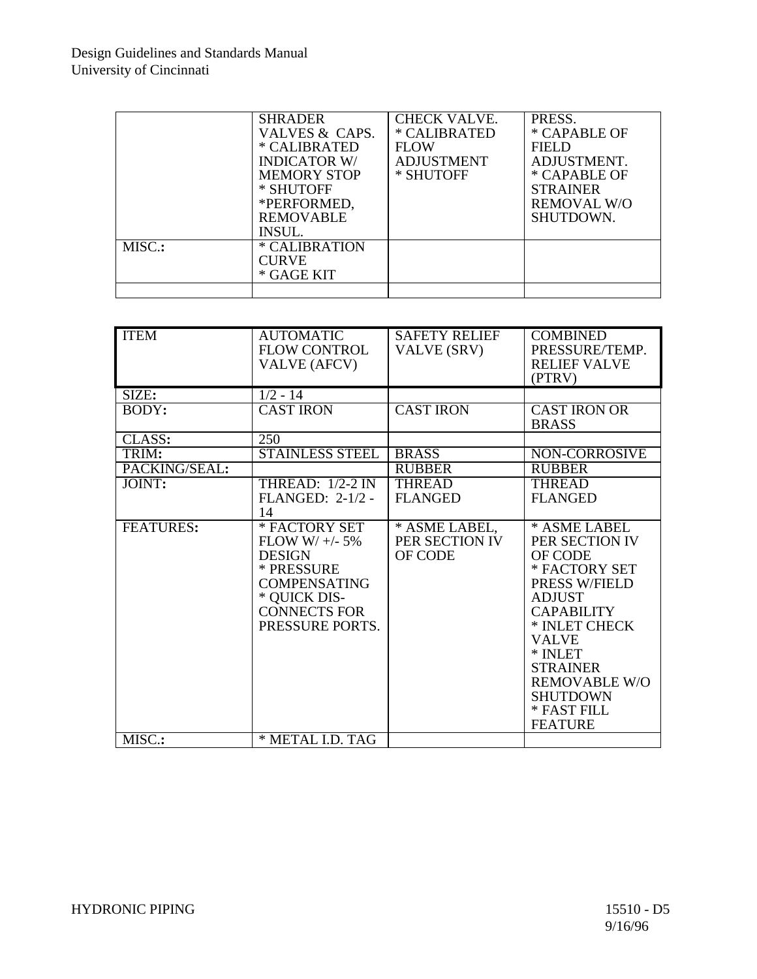|        | <b>SHRADER</b><br>VALVES & CAPS.<br>* CALIBRATED<br><b>INDICATOR W/</b><br><b>MEMORY STOP</b><br>* SHUTOFF<br>*PERFORMED,<br><b>REMOVABLE</b><br><b>INSUL.</b> | <b>CHECK VALVE.</b><br>* CALIBRATED<br><b>FLOW</b><br><b>ADJUSTMENT</b><br>* SHUTOFF | PRESS.<br>* CAPABLE OF<br>FIELD<br>ADJUSTMENT.<br>* CAPABLE OF<br><b>STRAINER</b><br><b>REMOVAL W/O</b><br>SHUTDOWN. |
|--------|----------------------------------------------------------------------------------------------------------------------------------------------------------------|--------------------------------------------------------------------------------------|----------------------------------------------------------------------------------------------------------------------|
| MISC.: | * CALIBRATION<br><b>CURVE</b><br>* GAGE KIT                                                                                                                    |                                                                                      |                                                                                                                      |
|        |                                                                                                                                                                |                                                                                      |                                                                                                                      |

| <b>ITEM</b>          | <b>AUTOMATIC</b><br><b>FLOW CONTROL</b><br><b>VALVE (AFCV)</b>                                                                                   | <b>SAFETY RELIEF</b><br>VALVE (SRV)        | <b>COMBINED</b><br>PRESSURE/TEMP.<br><b>RELIEF VALVE</b><br>(PTRV)                                                                                                                                                                                           |
|----------------------|--------------------------------------------------------------------------------------------------------------------------------------------------|--------------------------------------------|--------------------------------------------------------------------------------------------------------------------------------------------------------------------------------------------------------------------------------------------------------------|
| SIZE:                | $1/2 - 14$                                                                                                                                       |                                            |                                                                                                                                                                                                                                                              |
| BODY:                | <b>CAST IRON</b>                                                                                                                                 | <b>CAST IRON</b>                           | <b>CAST IRON OR</b><br><b>BRASS</b>                                                                                                                                                                                                                          |
| $CLAS\overline{S}$ : | 250                                                                                                                                              |                                            |                                                                                                                                                                                                                                                              |
| TRIM:                | <b>STAINLESS STEEL</b>                                                                                                                           | <b>BRASS</b>                               | NON-CORROSIVE                                                                                                                                                                                                                                                |
| PACKING/SEAL:        |                                                                                                                                                  | <b>RUBBER</b>                              | <b>RUBBER</b>                                                                                                                                                                                                                                                |
| JOINT:               | THREAD: $1/2-2$ IN<br>FLANGED: 2-1/2 -<br>14                                                                                                     | <b>THREAD</b><br><b>FLANGED</b>            | <b>THREAD</b><br><b>FLANGED</b>                                                                                                                                                                                                                              |
| <b>FEATURES:</b>     | * FACTORY SET<br>$FLOW W/+/- 5%$<br><b>DESIGN</b><br>* PRESSURE<br><b>COMPENSATING</b><br>* QUICK DIS-<br><b>CONNECTS FOR</b><br>PRESSURE PORTS. | * ASME LABEL,<br>PER SECTION IV<br>OF CODE | * ASME LABEL<br>PER SECTION IV<br>OF CODE<br>* FACTORY SET<br>PRESS W/FIELD<br><b>ADJUST</b><br><b>CAPABILITY</b><br>* INLET CHECK<br><b>VALVE</b><br>* INLET<br><b>STRAINER</b><br><b>REMOVABLE W/O</b><br><b>SHUTDOWN</b><br>* FAST FILL<br><b>FEATURE</b> |
| MISC.:               | * METAL I.D. TAG                                                                                                                                 |                                            |                                                                                                                                                                                                                                                              |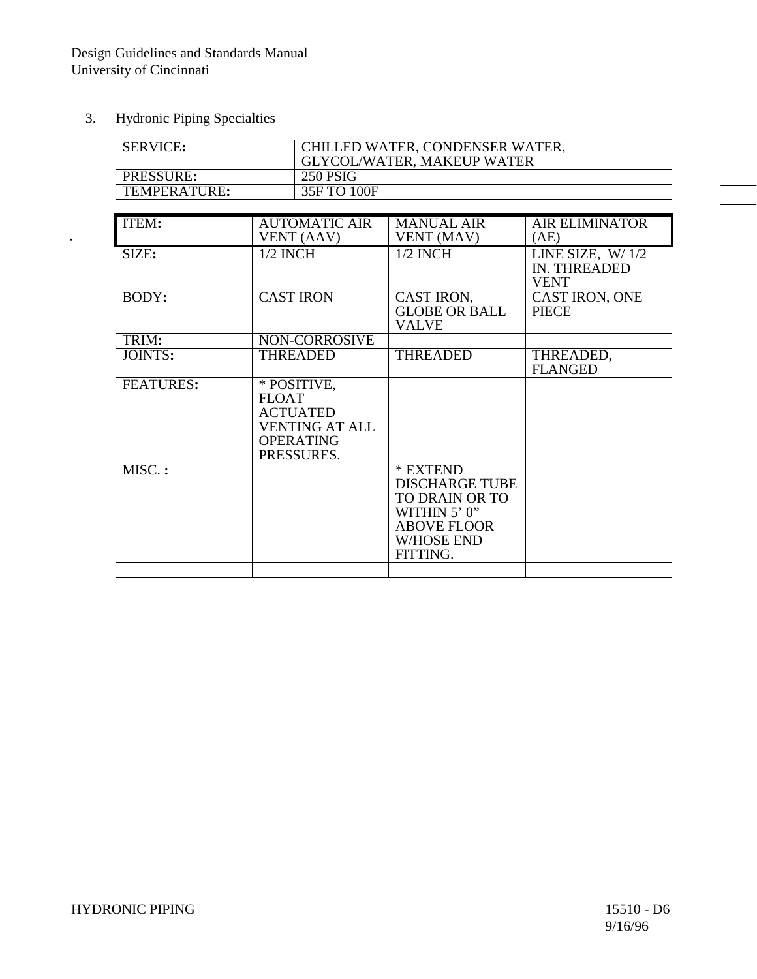3. Hydronic Piping Specialties

 $\ddot{\phantom{0}}$ 

| <b>SERVICE:</b>  | CHILLED WATER, CONDENSER WATER,<br><b>GLYCOL/WATER, MAKEUP WATER</b> |
|------------------|----------------------------------------------------------------------|
| <b>PRESSURE:</b> | 250 PSIG                                                             |
| TEMPERATURE:     | 35F TO 100F                                                          |

| ITEM:            | <b>AUTOMATIC AIR</b>  | <b>MANUAL AIR</b>     | <b>AIR ELIMINATOR</b> |
|------------------|-----------------------|-----------------------|-----------------------|
|                  | VENT (AAV)            | VENT (MAV)            | (AE)                  |
| SIZE:            | $1/2$ INCH            | $1/2$ INCH            | LINE SIZE, $W/1/2$    |
|                  |                       |                       | IN. THREADED          |
|                  |                       |                       | <b>VENT</b>           |
| BODY:            | <b>CAST IRON</b>      | CAST IRON,            | CAST IRON, ONE        |
|                  |                       | <b>GLOBE OR BALL</b>  | <b>PIECE</b>          |
|                  |                       | <b>VALVE</b>          |                       |
| TRIM:            | NON-CORROSIVE         |                       |                       |
| JOINTS:          | <b>THREADED</b>       | <b>THREADED</b>       | THREADED,             |
|                  |                       |                       | <b>FLANGED</b>        |
| <b>FEATURES:</b> | * POSITIVE,           |                       |                       |
|                  | <b>FLOAT</b>          |                       |                       |
|                  | <b>ACTUATED</b>       |                       |                       |
|                  | <b>VENTING AT ALL</b> |                       |                       |
|                  | <b>OPERATING</b>      |                       |                       |
|                  | PRESSURES.            |                       |                       |
| MISC.:           |                       | * EXTEND              |                       |
|                  |                       | <b>DISCHARGE TUBE</b> |                       |
|                  |                       | TO DRAIN OR TO        |                       |
|                  |                       | WITHIN 5' 0"          |                       |
|                  |                       | <b>ABOVE FLOOR</b>    |                       |
|                  |                       | <b>W/HOSE END</b>     |                       |
|                  |                       | FITTING.              |                       |
|                  |                       |                       |                       |
|                  |                       |                       |                       |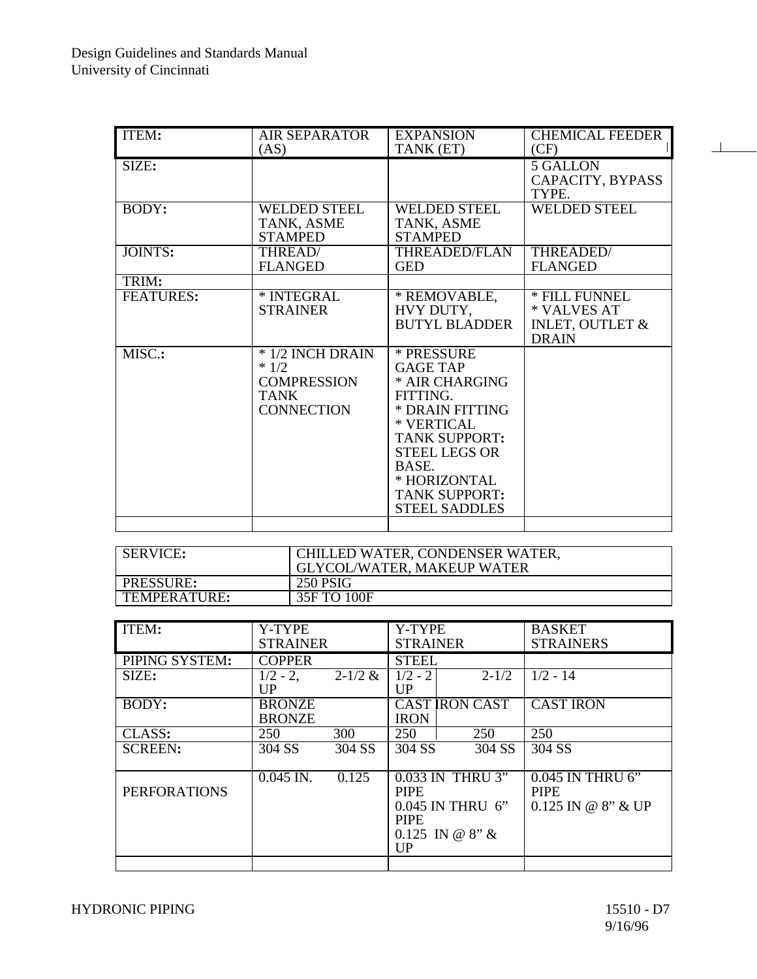| <b>ITEM:</b>     | <b>AIR SEPARATOR</b>                                                                 | <b>EXPANSION</b>                                                                                                                                                                                                      | <b>CHEMICAL FEEDER</b>                                                     |
|------------------|--------------------------------------------------------------------------------------|-----------------------------------------------------------------------------------------------------------------------------------------------------------------------------------------------------------------------|----------------------------------------------------------------------------|
|                  | (AS)                                                                                 | TANK (ET)                                                                                                                                                                                                             | (CF)                                                                       |
| SIZE:            |                                                                                      |                                                                                                                                                                                                                       | <b>5 GALLON</b><br>CAPACITY, BYPASS<br>TYPE.                               |
| BODY:            | <b>WELDED STEEL</b><br>TANK, ASME<br><b>STAMPED</b>                                  | <b>WELDED STEEL</b><br>TANK, ASME<br><b>STAMPED</b>                                                                                                                                                                   | <b>WELDED STEEL</b>                                                        |
| JOINTS:          | THREAD/<br><b>FLANGED</b>                                                            | THREADED/FLAN<br><b>GED</b>                                                                                                                                                                                           | THREADED/<br><b>FLANGED</b>                                                |
| TRIM:            |                                                                                      |                                                                                                                                                                                                                       |                                                                            |
| <b>FEATURES:</b> | * INTEGRAL<br><b>STRAINER</b>                                                        | * REMOVABLE,<br>HVY DUTY,<br><b>BUTYL BLADDER</b>                                                                                                                                                                     | * FILL FUNNEL<br>* VALVES AT<br><b>INLET, OUTLET &amp;</b><br><b>DRAIN</b> |
| MISC.:           | * 1/2 INCH DRAIN<br>$*1/2$<br><b>COMPRESSION</b><br><b>TANK</b><br><b>CONNECTION</b> | * PRESSURE<br><b>GAGE TAP</b><br>* AIR CHARGING<br>FITTING.<br>* DRAIN FITTING<br>* VERTICAL<br><b>TANK SUPPORT:</b><br><b>STEEL LEGS OR</b><br>BASE.<br>* HORIZONTAL<br><b>TANK SUPPORT:</b><br><b>STEEL SADDLES</b> |                                                                            |
|                  |                                                                                      |                                                                                                                                                                                                                       |                                                                            |

| <b>SERVICE:</b>  | CHILLED WATER, CONDENSER WATER,<br><b>GLYCOL/WATER, MAKEUP WATER</b> |
|------------------|----------------------------------------------------------------------|
| <b>PRESSURE:</b> | 250 PSIG                                                             |
| TEMPERATURE:     | 35F TO 100F                                                          |

| ITEM:               | Y-TYPE<br><b>STRAINER</b>      |             | Y-TYPE<br><b>STRAINER</b>                                                                     |                       | <b>BASKET</b><br><b>STRAINERS</b>                       |
|---------------------|--------------------------------|-------------|-----------------------------------------------------------------------------------------------|-----------------------|---------------------------------------------------------|
| PIPING SYSTEM:      | <b>COPPER</b>                  |             | <b>STEEL</b>                                                                                  |                       |                                                         |
| SIZE:               | $1/2 - 2$ ,<br><b>UP</b>       | $2 - 1/2$ & | $1/2 - 2$<br>UP                                                                               | $2 - 1/2$             | $1/2 - 14$                                              |
| BODY:               | <b>BRONZE</b><br><b>BRONZE</b> |             | <b>IRON</b>                                                                                   | <b>CAST IRON CAST</b> | <b>CAST IRON</b>                                        |
| CLASS:              | 250                            | 300         | 250                                                                                           | 250                   | 250                                                     |
| <b>SCREEN:</b>      | 304 SS                         | 304 SS      | 304 SS                                                                                        | 304 SS                | 304 SS                                                  |
| <b>PERFORATIONS</b> | $0.045$ IN.                    | 0.125       | 0.033 IN THRU 3"<br><b>PIPE</b><br>0.045 IN THRU 6"<br><b>PIPE</b><br>$0.125$ IN @ 8" &<br>UP |                       | 0.045 IN THRU 6"<br><b>PIPE</b><br>$0.125$ IN @ 8" & UP |
|                     |                                |             |                                                                                               |                       |                                                         |

 $\perp$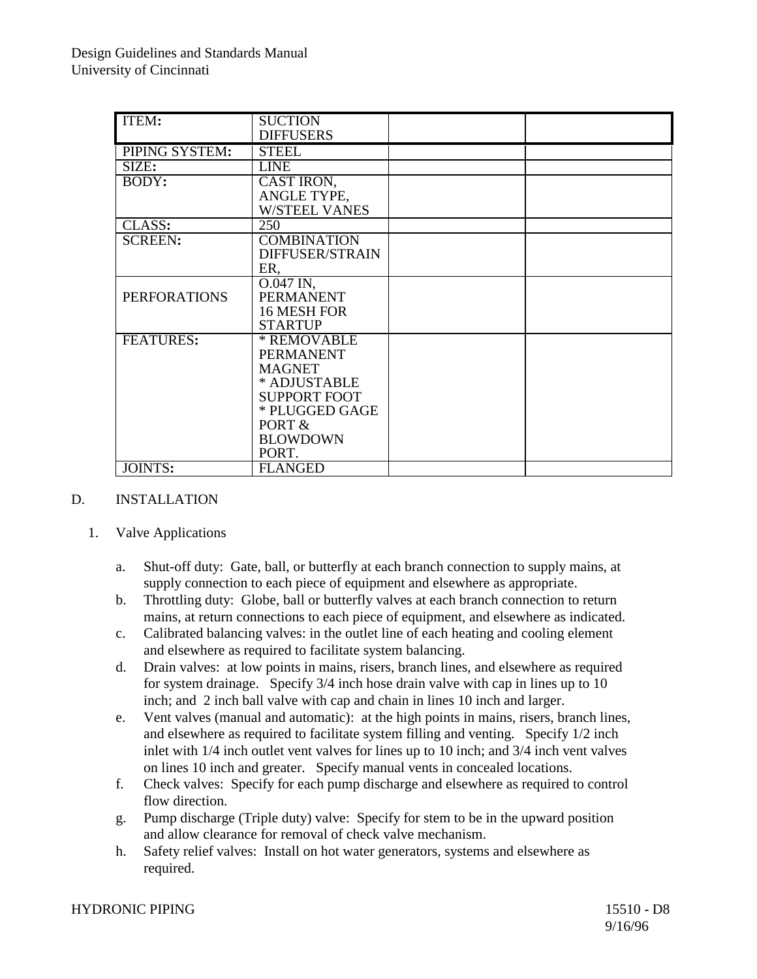| ITEM:               | <b>SUCTION</b>       |  |
|---------------------|----------------------|--|
|                     | <b>DIFFUSERS</b>     |  |
| PIPING SYSTEM:      | <b>STEEL</b>         |  |
| SIZE:               | <b>LINE</b>          |  |
| BODY:               | CAST IRON,           |  |
|                     | ANGLE TYPE,          |  |
|                     | <b>W/STEEL VANES</b> |  |
| CLASS:              | 250                  |  |
| <b>SCREEN:</b>      | <b>COMBINATION</b>   |  |
|                     | DIFFUSER/STRAIN      |  |
|                     | ER,                  |  |
|                     | $0.047$ IN,          |  |
| <b>PERFORATIONS</b> | <b>PERMANENT</b>     |  |
|                     | 16 MESH FOR          |  |
|                     | <b>STARTUP</b>       |  |
| <b>FEATURES:</b>    | * REMOVABLE          |  |
|                     | <b>PERMANENT</b>     |  |
|                     | <b>MAGNET</b>        |  |
|                     | * ADJUSTABLE         |  |
|                     | <b>SUPPORT FOOT</b>  |  |
|                     | * PLUGGED GAGE       |  |
|                     | PORT &               |  |
|                     | <b>BLOWDOWN</b>      |  |
|                     | PORT.                |  |
| JOINTS:             | <b>FLANGED</b>       |  |

## D. INSTALLATION

- 1. Valve Applications
	- a. Shut-off duty: Gate, ball, or butterfly at each branch connection to supply mains, at supply connection to each piece of equipment and elsewhere as appropriate.
	- b. Throttling duty: Globe, ball or butterfly valves at each branch connection to return mains, at return connections to each piece of equipment, and elsewhere as indicated.
	- c. Calibrated balancing valves: in the outlet line of each heating and cooling element and elsewhere as required to facilitate system balancing.
	- d. Drain valves: at low points in mains, risers, branch lines, and elsewhere as required for system drainage. Specify 3/4 inch hose drain valve with cap in lines up to 10 inch; and 2 inch ball valve with cap and chain in lines 10 inch and larger.
	- e. Vent valves (manual and automatic): at the high points in mains, risers, branch lines, and elsewhere as required to facilitate system filling and venting. Specify 1/2 inch inlet with 1/4 inch outlet vent valves for lines up to 10 inch; and 3/4 inch vent valves on lines 10 inch and greater. Specify manual vents in concealed locations.
	- f. Check valves: Specify for each pump discharge and elsewhere as required to control flow direction.
	- g. Pump discharge (Triple duty) valve: Specify for stem to be in the upward position and allow clearance for removal of check valve mechanism.
	- h. Safety relief valves: Install on hot water generators, systems and elsewhere as required.